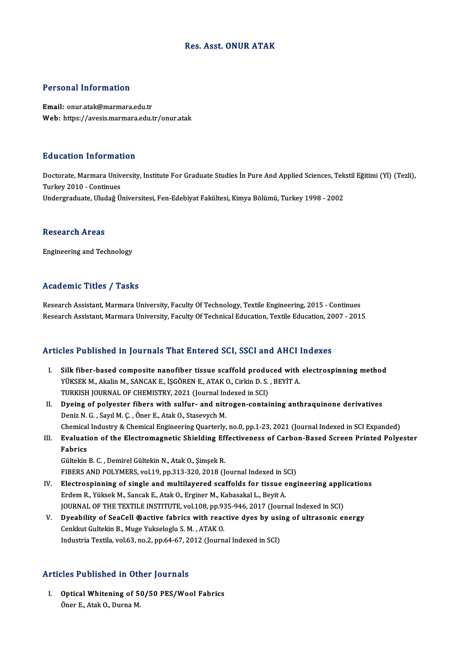#### Res. Asst. ONUR ATAK

#### Personal Information

Email: onur.atak@marmara.edu.tr Web: https://avesis.marmara.edu.tr/onur.atak

#### Education Information

**Education Information**<br>Doctorate, Marmara University, Institute For Graduate Studies İn Pure And Applied Sciences, Tekstil Eğitimi (Yl) (Tezli),<br>Turkey 2010, Continues Turkey<br>Doctorate, Marmara Univ<br>Turkey 2010 - Continues<br>Undergreduate Uludeă Ü Turkey 2010 - Continues<br>Undergraduate, Uludağ Üniversitesi, Fen-Edebiyat Fakültesi, Kimya Bölümü, Turkey 1998 - 2002

#### **Research Areas**

Engineering and Technology

#### Academic Titles / Tasks

Research Assistant, Marmara University, Faculty Of Technology, Textile Engineering, 2015 - Continues Research Assistant, Marmara University, Faculty Of Technical Education, Textile Education, 2007 - 2015

#### Articles Published in Journals That Entered SCI, SSCI and AHCI Indexes

- The Published in Journals That Entered SCI, SSCI and AHCI Indexes<br>I. Silk fiber-based composite nanofiber tissue scaffold produced with electrospinning method<br>Vivery M. Alglin M. SANGAY E. ISCOPEN E. ATAY O. Cirkin D. S. P YÜKSEK M., Akalin M., SANCAK E., İŞGÖREN E., ATAK O., Cirkin D. S. , BEYİT A.<br>YÜKSEK M., Akalin M., SANCAK E., İŞGÖREN E., ATAK O., Cirkin D. S. , BEYİT A.<br>TURKISH JOURNAL OF CHEMISTRY 2021 (Journal Indoved in SCI) Silk fiber-based composite nanofiber tissue scaffold produ<br>YÜKSEK M., Akalin M., SANCAK E., İŞGÖREN E., ATAK O., Cirkin D. S.<br>TURKISH JOURNAL OF CHEMISTRY, 2021 (Journal Indexed in SCI)<br>Dyeing of polyester fibers with sulf TURKISH JOURNAL OF CHEMISTRY, 2021 (Journal Indexed in SCI)
- YÜKSEK M., Akalin M., SANCAK E., İŞGÖREN E., ATAK O., Cirkin D. S. , BEYİT A.<br>TURKISH JOURNAL OF CHEMISTRY, 2021 (Journal Indexed in SCI)<br>II. Dyeing of polyester fibers with sulfur- and nitrogen-containing anthraquinone de Dyeing of polyester fibers with sulfur- and nitrogen-containing anthraquinone derivatives<br>Deniz N. G. , Sayıl M. Ç. , Öner E., Atak O., Stasevych M.<br>Chemical Industry & Chemical Engineering Quarterly, no.0, pp.1-23, 2021 (
- III. Evaluation of the Electromagnetic Shielding Effectiveness of Carbon-Based Screen Printed Polyester<br>Fabrics Chemical<br><mark>Evaluati</mark><br>Fabrics

Gültekin B.C., Demirel Gültekin N., Atak O., Şimşek R. FIBERS AND POLYMERS, vol.19, pp.313-320, 2018 (Journal Indexed in SCI)

- Gültekin B. C. , Demirel Gültekin N., Atak O., Şimşek R.<br>FIBERS AND POLYMERS, vol.19, pp.313-320, 2018 (Journal Indexed in SCI)<br>IV. Electrospinning of single and multilayered scaffolds for tissue engineering applications<br>F Erdem R., Yüksek M., Sancak E., Atak O., Erginer M., Kabasakal L., Beyit A.<br>JOURNAL OF THE TEXTILE INSTITUTE, vol.108, pp.935-946, 2017 (Journal Indexed in SCI) Electrospinning of single and multilayered scaffolds for tissue engineering appli<br>Erdem R., Yüksek M., Sancak E., Atak O., Erginer M., Kabasakal L., Beyit A.<br>JOURNAL OF THE TEXTILE INSTITUTE, vol.108, pp.935-946, 2017 (Jou Erdem R., Yüksek M., Sancak E., Atak O., Erginer M., Kabasakal L., Beyit A.<br>JOURNAL OF THE TEXTILE INSTITUTE, vol.108, pp.935-946, 2017 (Journal Indexed in SCI)<br>V. Dyeability of SeaCell ®active fabrics with reactive dyes b
- Cenkkut Gultekin B., Muge Yukseloglu S. M., ATAK O.<br>Industria Textila, vol.63, no.2, pp.64-67, 2012 (Journal Indexed in SCI) D<mark>yeability of SeaCell ®active fabrics with reactive dyes by usi</mark><br>Cenkkut Gultekin B., Muge Yukseloglu S. M. , ATAK 0.<br>Industria Textila, vol.63, no.2, pp.64-67, 2012 (Journal Indexed in SCI)

#### Articles Published in Other Journals

**Tricles Published in Other Journals<br>I. Optical Whitening of 50/50 PES/Wool Fabrics**<br>Oper E. Atel: O. Durne M Optical Whitening of 5<br>Öner E., Atak O., Durna M.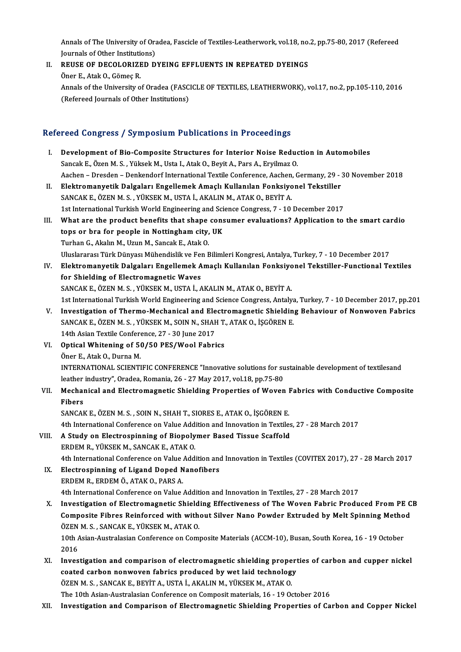Annals of The University of Oradea, Fascicle of Textiles-Leatherwork, vol.18, no.2, pp.75-80, 2017 (Refereed<br>Journals of Other Institutions) Annals of The University of Ora<br>Journals of Other Institutions)<br>REUSE OF DECOLORIZED D Annals of The University of Oradea, Fascicle of Textiles-Leatherwork, vol.18, no.<br>Journals of Other Institutions)<br>II. REUSE OF DECOLORIZED DYEING EFFLUENTS IN REPEATED DYEINGS<br>Oner E. Atric O. Gömes P.

Journals of Other Institution<br>REUSE OF DECOLORIZE<br>Öner E., Atak O., Gömeç R.<br>Annals of the University o REUSE OF DECOLORIZED DYEING EFFLUENTS IN REPEATED DYEINGS<br>Öner E., Atak O., Gömeç R.<br>Annals of the University of Oradea (FASCICLE OF TEXTILES, LEATHERWORK), vol.17, no.2, pp.105-110, 2016<br>(Pefereed Journals of Other Instit Öner E., Atak O., Gömeç R.<br>Annals of the University of Oradea (FASC<br>(Refereed Journals of Other Institutions)

# (Refereed Journals of Other Institutions)<br>Refereed Congress / Symposium Publications in Proceedings

- I. Development of Bio-Composite Structures for Interior Noise Reduction in Automobiles Sancak E., Özen M. S., Yüksek M., Usta I., Atak O., Beyit A., Pars A., Eryilmaz O. Development of Bio-Composite Structures for Interior Noise Reduction in Automobiles<br>Sancak E., Özen M. S. , Yüksek M., Usta I., Atak O., Beyit A., Pars A., Eryilmaz O.<br>Aachen – Dresden – Denkendorf International Textile Co II. Elektromanyetik Dalgaları Engellemek Amaçlı Kullanılan Fonksiyonel Tekstiller<br>SANCAK E., ÖZEN M. S., YÜKSEK M., USTA İ., AKALIN M., ATAK O., BEYİT A. Aachen – Dresden – Denkendorf International Textile Conference, Aachen,<br>Elektromanyetik Dalgaları Engellemek Amaçlı Kullanılan Fonksiyo<br>SANCAK E., ÖZEN M. S. , YÜKSEK M., USTA İ., AKALIN M., ATAK O., BEYİT A.<br>1st Internati 1st International Turkish World Engineering and Science Congress, 7 - 10 December 2017 III. What are the product benefits that shape consumer evaluations? Application to the smart cardio 1st International Turkish World Engineering and Sci<br>What are the product benefits that shape cons<br>tops or bra for people in Nottingham city, UK<br>Turban G. Alialm M. Umin M. Sansak E. Atak O. What are the product benefits that shape<br>tops or bra for people in Nottingham city,<br>Turhan G., Akalın M., Uzun M., Sancak E., Atak O.<br>Uluelararea: Türk Dünyası Mühandialik ve Fan E tops or bra for people in Nottingham city, UK<br>Turhan G., Akalın M., Uzun M., Sancak E., Atak O.<br>Uluslararası Türk Dünyası Mühendislik ve Fen Bilimleri Kongresi, Antalya, Turkey, 7 - 10 December 2017<br>Elektromanyetik Dalgala Turhan G., Akalın M., Uzun M., Sancak E., Atak O.<br>Uluslararası Türk Dünyası Mühendislik ve Fen Bilimleri Kongresi, Antalya, Turkey, 7 - 10 December 2017<br>IV. Elektromanyetik Dalgaları Engellemek Amaçlı Kullanılan Fonksiyone Uluslararası Türk Dünyası Mühendislik ve Fer<br>Elektromanyetik Dalgaları Engellemek A<br>for Shielding of Electromagnetic Waves<br>SANGAKE ÖZEN M.S. VÜKSEK M. USTA İ. A SANCAKE.,ÖZENM.S. ,YÜKSEKM.,USTAİ.,AKALINM.,ATAKO.,BEYİTA. for Shielding of Electromagnetic Waves<br>SANCAK E., ÖZEN M. S. , YÜKSEK M., USTA İ., AKALIN M., ATAK O., BEYİT A.<br>1st International Turkish World Engineering and Science Congress, Antalya, Turkey, 7 - 10 December 2017, pp.20 SANCAK E., ÖZEN M. S., YÜKSEK M., USTA İ., AKALIN M., ATAK O., BEYİT A.<br>1st International Turkish World Engineering and Science Congress, Antalya, Turkey, 7 - 10 December 2017, pp.20<br>1. Investigation of Thermo-Mechanical a 1st International Turkish World Engineering and Science Congress, Antalya<br>Investigation of Thermo-Mechanical and Electromagnetic Shieldin<br>SANCAK E., ÖZEN M. S., YÜKSEK M., SOIN N., SHAH T., ATAK O., İŞGÖREN E.<br>14th Asian T Investigation of Thermo-Mechanical and Ele<br>SANCAK E., ÖZEN M. S. , YÜKSEK M., SOIN N., SHAF<br>14th Asian Textile Conference, 27 - 30 June 2017<br>Ontical Whitening of 50 (50 BES (Wool Febri SANCAK E., ÖZEN M. S., YÜKSEK M., SOIN N., SHAH T.<br>14th Asian Textile Conference, 27 - 30 June 2017<br>VI. Optical Whitening of 50/50 PES/Wool Fabrics<br>Öner E. Atak O. Durna M. 14th Asian Textile Conference, 27 - 30 June 2017<br>VI. Optical Whitening of 50/50 PES/Wool Fabrics<br>Öner E., Atak O., Durna M. Optical Whitening of 50/50 PES/Wool Fabrics<br>Öner E., Atak O., Durna M.<br>INTERNATIONAL SCIENTIFIC CONFERENCE "Innovative solutions for sustainable development of textilesand<br>Jesther industry", Oradea, Bornania, 26, ...27 May Öner E., Atak O., Durna M.<br>INTERNATIONAL SCIENTIFIC CONFERENCE "Innovative solutions for su<br>leather industry", Oradea, Romania, 26 - 27 May 2017, vol.18, pp.75-80<br>Mechanical and Electromagnatic Shielding Properties of Woye INTERNATIONAL SCIENTIFIC CONFERENCE "Innovative solutions for sustainable development of textilesand<br>leather industry", Oradea, Romania, 26 - 27 May 2017, vol.18, pp.75-80<br>VII. Mechanical and Electromagnetic Shielding Prop leather industry", Oradea, Romania, 26 - 27 May 2017, vol.18, pp.75-80<br>Mechanical and Electromagnetic Shielding Properties of Woven I<br>Fibers<br>SANCAK E., ÖZEN M. S., SOIN N., SHAH T., SIORES E., ATAK O., İŞGÖREN E. Mechanical and Electromagnetic Shielding Properties of Woven I<br>Fibers<br>SANCAK E., ÖZEN M. S. , SOIN N., SHAH T., SIORES E., ATAK O., İŞGÖREN E.<br>4th International Conference on Value Addition and Innovation in Teytile 4th International Conference on Value Addition and Innovation in Textiles, 27 - 28 March 2017 SANCAK E., ÖZEN M. S., SOIN N., SHAH T., SIORES E., ATAK O., İŞGÖREN E.<br>4th International Conference on Value Addition and Innovation in Textiles<br>VIII. A Study on Electrospinning of Biopolymer Based Tissue Scaffold<br>EPDEM B 4th International Conference on Value Add:<br>A Study on Electrospinning of Biopoly<br>ERDEM R., YÜKSEK M., SANCAK E., ATAK O.<br>4th International Conference on Value Add: ERDEM R., YÜKSEK M., SANCAK E., ATAK O.<br>4th International Conference on Value Addition and Innovation in Textiles (COVITEX 2017), 27 - 28 March 2017 ERDEM R., YÜKSEK M., SANCAK E., ATAK O.<br>4th International Conference on Value Addition and<br>IX. Electrospinning of Ligand Doped Nanofibers<br>EPDEM P. EPDEM Ö. ATAK O. BABS A. 4th International Conference on Value<br>Electrospinning of Ligand Doped N<br>ERDEM R., ERDEM Ö., ATAK O., PARS A. ERDEM R., ERDEM Ö., ATAK O., PARS A.<br>4th International Conference on Value Addition and Innovation in Textiles, 27 - 28 March 2017 X. Investigation of Electromagnetic Shielding Effectiveness of The Woven Fabric Produced From PE CB 4th International Conference on Value Addition and Innovation in Textiles, 27 - 28 March 2017<br>Investigation of Electromagnetic Shielding Effectiveness of The Woven Fabric Produced From PE C<br>Composite Fibres Reinforced with Investigation of Electromagnetic Shield<br>Composite Fibres Reinforced with with<br>ÖZEN M. S., SANCAK E., YÜKSEK M., ATAK O.<br>10th Asian Australasian Conference on Comu Composite Fibres Reinforced with without Silver Nano Powder Extruded by Melt Spinning Metho<br>ÖZEN M. S. , SANCAK E., YÜKSEK M., ATAK O.<br>10th Asian-Australasian Conference on Composite Materials (ACCM-10), Busan, South Korea ÖZEN<br>10th /<br>2016<br>Invec 10th Asian-Australasian Conference on Composite Materials (ACCM-10), Busan, South Korea, 16 - 19 October<br>2016<br>XI. Investigation and comparison of electromagnetic shielding properties of carbon and cupper nickel<br>2021ed sarb 2016<br>XI. Investigation and comparison of electromagnetic shielding properties of carbon and cupper nickel<br>coated carbon nonwoven fabrics produced by wet laid technology Investigation and comparison of electromagnetic shielding prope<br>coated carbon nonwoven fabrics produced by wet laid technolog<br>ÖZEN M. S. , SANCAK E., BEYİT A., USTA İ., AKALIN M., YÜKSEK M., ATAK O.<br>The 10th Asian Australa coated carbon nonwoven fabrics produced by wet laid technology<br>ÖZEN M. S. , SANCAK E., BEYİT A., USTA İ., AKALIN M., YÜKSEK M., ATAK O.<br>The 10th Asian-Australasian Conference on Composit materials, 16 - 19 October 2016<br>Inv
- The 10th Asian-Australasian Conference on Composit materials, 16 19 October 2016<br>XII. Investigation and Comparison of Electromagnetic Shielding Properties of Carbon and Copper Nickel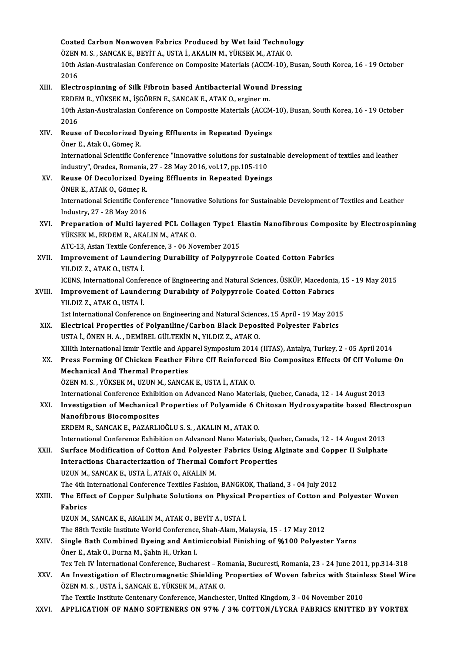|        | Coated Carbon Nonwoven Fabrics Produced by Wet laid Technology                                                                                                     |
|--------|--------------------------------------------------------------------------------------------------------------------------------------------------------------------|
|        | ÖZEN M. S. , SANCAK E., BEYİT A., USTA İ., AKALIN M., YÜKSEK M., ATAK O.                                                                                           |
|        | 10th Asian-Australasian Conference on Composite Materials (ACCM-10), Busan, South Korea, 16 - 19 October                                                           |
|        | 2016                                                                                                                                                               |
| XIII.  | Electrospinning of Silk Fibroin based Antibacterial Wound Dressing                                                                                                 |
|        | ERDEM R., YÜKSEK M., İŞGÖREN E., SANCAK E., ATAK O., erginer m.                                                                                                    |
|        | 10th Asian-Australasian Conference on Composite Materials (ACCM-10), Busan, South Korea, 16 - 19 October                                                           |
|        | 2016                                                                                                                                                               |
| XIV.   | Reuse of Decolorized Dyeing Effluents in Repeated Dyeings                                                                                                          |
|        | Öner E., Atak O., Gömeç R.                                                                                                                                         |
|        | International Scientific Conference "Innovative solutions for sustainable development of textiles and leather                                                      |
|        | industry", Oradea, Romania, 27 - 28 May 2016, vol.17, pp.105-110                                                                                                   |
| XV.    | Reuse Of Decolorized Dyeing Effluents in Repeated Dyeings                                                                                                          |
|        | ÖNER E., ATAK O., Gömeç R.                                                                                                                                         |
|        | International Scientific Conference "Innovative Solutions for Sustainable Development of Textiles and Leather                                                      |
|        | Industry, 27 - 28 May 2016                                                                                                                                         |
| XVI.   | Preparation of Multi layered PCL Collagen Type1 Elastin Nanofibrous Composite by Electrospinning                                                                   |
|        | YÜKSEK M., ERDEM R., AKALIN M., ATAK O.                                                                                                                            |
|        | ATC-13, Asian Textile Conference, 3 - 06 November 2015                                                                                                             |
| XVII.  | Improvement of Laundering Durability of Polypyrrole Coated Cotton Fabrics                                                                                          |
|        | YILDIZ Z., ATAK O., USTA İ.                                                                                                                                        |
|        | ICENS, International Conference of Engineering and Natural Sciences, ÜSKÜP, Macedonia, 15 - 19 May 2015                                                            |
| XVIII. | Improvement of Laundering Durability of Polypyrrole Coated Cotton Fabrics                                                                                          |
|        | YILDIZ Z., ATAK O., USTA İ.                                                                                                                                        |
|        | 1st International Conference on Engineering and Natural Sciences, 15 April - 19 May 2015                                                                           |
| XIX.   | Electrical Properties of Polyaniline/Carbon Black Deposited Polyester Fabrics                                                                                      |
|        | USTA İ., ÖNEN H. A., DEMİREL GÜLTEKİN N., YILDIZ Z., ATAK O.                                                                                                       |
|        | XIIIth International Izmir Textile and Apparel Symposium 2014 (IITAS), Antalya, Turkey, 2 - 05 April 2014                                                          |
| XX.    | Press Forming Of Chicken Feather Fibre Cff Reinforced Bio Composites Effects Of Cff Volume On                                                                      |
|        | <b>Mechanical And Thermal Properties</b>                                                                                                                           |
|        | ÖZEN M. S., YÜKSEK M., UZUN M., SANCAK E., USTA İ., ATAK O.<br>International Conference Exhibition on Advanced Nano Materials, Quebec, Canada, 12 - 14 August 2013 |
| XXI.   | Investigation of Mechanical Properties of Polyamide 6 Chitosan Hydroxyapatite based Electrospun                                                                    |
|        | <b>Nanofibrous Biocomposites</b>                                                                                                                                   |
|        | ERDEM R., SANCAK E., PAZARLIOĞLU S. S., AKALIN M., ATAK O.                                                                                                         |
|        | International Conference Exhibition on Advanced Nano Materials, Quebec, Canada, 12 - 14 August 2013                                                                |
| XXII.  | Surface Modification of Cotton And Polyester Fabrics Using Alginate and Copper II Sulphate                                                                         |
|        | <b>Interactions Characterization of Thermal Comfort Properties</b>                                                                                                 |
|        | UZUN M., SANCAK E., USTA İ., ATAK O., AKALIN M.                                                                                                                    |
|        | The 4th International Conference Textiles Fashion, BANGKOK, Thailand, 3 - 04 July 2012                                                                             |
| XXIII. | The Effect of Copper Sulphate Solutions on Physical Properties of Cotton and Polyester Woven                                                                       |
|        | Fabrics                                                                                                                                                            |
|        | UZUN M., SANCAK E., AKALIN M., ATAK O., BEYİT A., USTA İ.                                                                                                          |
|        | The 88th Textile Institute World Conference, Shah-Alam, Malaysia, 15 - 17 May 2012                                                                                 |
| XXIV.  | Single Bath Combined Dyeing and Antimicrobial Finishing of %100 Polyester Yarns                                                                                    |
|        | Öner E., Atak O., Durna M., Şahin H., Urkan I.                                                                                                                     |
|        | Tex Teh IV İnternational Conference, Bucharest - Romania, Bucuresti, Romania, 23 - 24 June 2011, pp.314-318                                                        |
| XXV.   | An Investigation of Electromagnetic Shielding Properties of Woven fabrics with Stainless Steel Wire                                                                |
|        | ÖZEN M. S., USTA İ., SANCAK E., YÜKSEK M., ATAK O.                                                                                                                 |
|        | The Textile Institute Centenary Conference, Manchester, United Kingdom, 3 - 04 November 2010                                                                       |
| XXVI.  | APPLICATION OF NANO SOFTENERS ON 97% / 3% COTTON/LYCRA FABRICS KNITTED BY VORTEX                                                                                   |